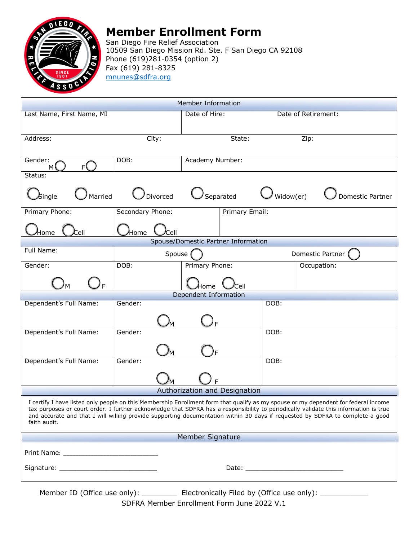

## **Member Enrollment Form**

San Diego Fire Relief Association 10509 San Diego Mission Rd. Ste. F San Diego CA 92108 Phone (619)281-0354 (option 2) Fax (619) 281-8325 mnunes@sdfra.org

| Member Information                                                                                                                                                                                                                                                                                                                                                                                                           |                  |                 |                               |  |  |  |
|------------------------------------------------------------------------------------------------------------------------------------------------------------------------------------------------------------------------------------------------------------------------------------------------------------------------------------------------------------------------------------------------------------------------------|------------------|-----------------|-------------------------------|--|--|--|
| Last Name, First Name, MI                                                                                                                                                                                                                                                                                                                                                                                                    |                  |                 | Date of Retirement:           |  |  |  |
|                                                                                                                                                                                                                                                                                                                                                                                                                              |                  |                 |                               |  |  |  |
| Address:                                                                                                                                                                                                                                                                                                                                                                                                                     | City:            | State:          | Zip:                          |  |  |  |
|                                                                                                                                                                                                                                                                                                                                                                                                                              |                  |                 |                               |  |  |  |
| Gender:<br>F۹<br>м١                                                                                                                                                                                                                                                                                                                                                                                                          | DOB:             | Academy Number: |                               |  |  |  |
| Status:                                                                                                                                                                                                                                                                                                                                                                                                                      |                  |                 |                               |  |  |  |
| Married<br>$\mathcal{S}% _{k}=\mathcal{S}_{k}$ ingle                                                                                                                                                                                                                                                                                                                                                                         | Divorced         | Separated       | Widow(er)<br>Domestic Partner |  |  |  |
| Primary Phone:                                                                                                                                                                                                                                                                                                                                                                                                               | Secondary Phone: | Primary Email:  |                               |  |  |  |
| Cell<br>Home                                                                                                                                                                                                                                                                                                                                                                                                                 | ⁄Home<br>Cell    |                 |                               |  |  |  |
| Spouse/Domestic Partner Information                                                                                                                                                                                                                                                                                                                                                                                          |                  |                 |                               |  |  |  |
| Full Name:                                                                                                                                                                                                                                                                                                                                                                                                                   | Spouse           |                 | Domestic Partner              |  |  |  |
| Gender:                                                                                                                                                                                                                                                                                                                                                                                                                      | DOB:             | Primary Phone:  | Occupation:                   |  |  |  |
| F                                                                                                                                                                                                                                                                                                                                                                                                                            |                  | Home<br>Cell    |                               |  |  |  |
| Dependent Information                                                                                                                                                                                                                                                                                                                                                                                                        |                  |                 |                               |  |  |  |
| Dependent's Full Name:                                                                                                                                                                                                                                                                                                                                                                                                       | Gender:          |                 | DOB:                          |  |  |  |
|                                                                                                                                                                                                                                                                                                                                                                                                                              |                  |                 |                               |  |  |  |
| Dependent's Full Name:                                                                                                                                                                                                                                                                                                                                                                                                       | Gender:          |                 | DOB:                          |  |  |  |
|                                                                                                                                                                                                                                                                                                                                                                                                                              |                  |                 |                               |  |  |  |
| Dependent's Full Name:                                                                                                                                                                                                                                                                                                                                                                                                       | Gender:          |                 | DOB:                          |  |  |  |
|                                                                                                                                                                                                                                                                                                                                                                                                                              |                  |                 |                               |  |  |  |
|                                                                                                                                                                                                                                                                                                                                                                                                                              |                  |                 |                               |  |  |  |
| Authorization and Designation                                                                                                                                                                                                                                                                                                                                                                                                |                  |                 |                               |  |  |  |
| I certify I have listed only people on this Membership Enrollment form that qualify as my spouse or my dependent for federal income<br>tax purposes or court order. I further acknowledge that SDFRA has a responsibility to periodically validate this information is true<br>and accurate and that I will willing provide supporting documentation within 30 days if requested by SDFRA to complete a good<br>faith audit. |                  |                 |                               |  |  |  |
| Member Signature                                                                                                                                                                                                                                                                                                                                                                                                             |                  |                 |                               |  |  |  |
|                                                                                                                                                                                                                                                                                                                                                                                                                              |                  |                 |                               |  |  |  |
|                                                                                                                                                                                                                                                                                                                                                                                                                              |                  |                 |                               |  |  |  |
| Momboy ID $(\bigcap_{i=1}^{n} G_i)$<br>$\Gamma$ lestus nieslic $\Gamma$ iled bo (Office use sub $\Delta$                                                                                                                                                                                                                                                                                                                     |                  |                 |                               |  |  |  |

Member ID (Office use only): \_\_\_\_\_\_\_\_\_\_\_ Electronically Filed by (Office use only): \_\_\_\_\_\_\_\_\_ SDFRA Member Enrollment Form June 2022 V.1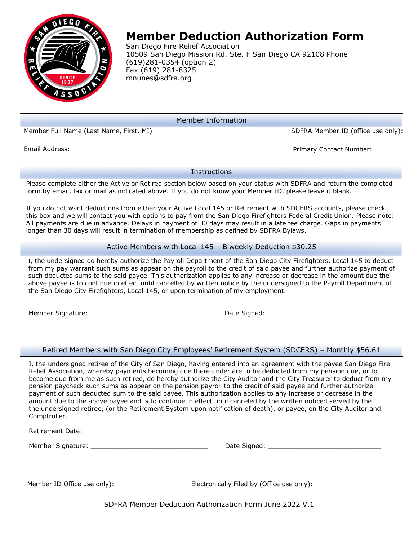

# **Member Deduction Authorization Form**

San Diego Fire Relief Association 10509 San Diego Mission Rd. Ste. F San Diego CA 92108 Phone (619)281-0354 (option 2) Fax (619) 281-8325 mnunes@sdfra.org

| <b>Member Information</b>                                                                                                                                                                                                                                                                                                                                                                                                                                                                                                                                                                                                                                                                                                                                                                                                                        |                                    |  |  |  |
|--------------------------------------------------------------------------------------------------------------------------------------------------------------------------------------------------------------------------------------------------------------------------------------------------------------------------------------------------------------------------------------------------------------------------------------------------------------------------------------------------------------------------------------------------------------------------------------------------------------------------------------------------------------------------------------------------------------------------------------------------------------------------------------------------------------------------------------------------|------------------------------------|--|--|--|
| Member Full Name (Last Name, First, MI)                                                                                                                                                                                                                                                                                                                                                                                                                                                                                                                                                                                                                                                                                                                                                                                                          | SDFRA Member ID (office use only): |  |  |  |
| Email Address:                                                                                                                                                                                                                                                                                                                                                                                                                                                                                                                                                                                                                                                                                                                                                                                                                                   | Primary Contact Number:            |  |  |  |
| <b>Instructions</b>                                                                                                                                                                                                                                                                                                                                                                                                                                                                                                                                                                                                                                                                                                                                                                                                                              |                                    |  |  |  |
| Please complete either the Active or Retired section below based on your status with SDFRA and return the completed<br>form by email, fax or mail as indicated above. If you do not know your Member ID, please leave it blank.                                                                                                                                                                                                                                                                                                                                                                                                                                                                                                                                                                                                                  |                                    |  |  |  |
| If you do not want deductions from either your Active Local 145 or Retirement with SDCERS accounts, please check<br>this box and we will contact you with options to pay from the San Diego Firefighters Federal Credit Union. Please note:<br>All payments are due in advance. Delays in payment of 30 days may result in a late fee charge. Gaps in payments<br>longer than 30 days will result in termination of membership as defined by SDFRA Bylaws.                                                                                                                                                                                                                                                                                                                                                                                       |                                    |  |  |  |
| Active Members with Local 145 - Biweekly Deduction \$30.25                                                                                                                                                                                                                                                                                                                                                                                                                                                                                                                                                                                                                                                                                                                                                                                       |                                    |  |  |  |
| I, the undersigned do hereby authorize the Payroll Department of the San Diego City Firefighters, Local 145 to deduct<br>from my pay warrant such sums as appear on the payroll to the credit of said payee and further authorize payment of<br>such deducted sums to the said payee. This authorization applies to any increase or decrease in the amount due the<br>above payee is to continue in effect until cancelled by written notice by the undersigned to the Payroll Department of<br>the San Diego City Firefighters, Local 145, or upon termination of my employment.                                                                                                                                                                                                                                                                |                                    |  |  |  |
|                                                                                                                                                                                                                                                                                                                                                                                                                                                                                                                                                                                                                                                                                                                                                                                                                                                  |                                    |  |  |  |
|                                                                                                                                                                                                                                                                                                                                                                                                                                                                                                                                                                                                                                                                                                                                                                                                                                                  |                                    |  |  |  |
| Retired Members with San Diego City Employees' Retirement System (SDCERS) - Monthly \$56.61                                                                                                                                                                                                                                                                                                                                                                                                                                                                                                                                                                                                                                                                                                                                                      |                                    |  |  |  |
| I, the undersigned retiree of the City of San Diego, having entered into an agreement with the payee San Diego Fire<br>Relief Association, whereby payments becoming due there under are to be deducted from my pension due, or to<br>become due from me as such retiree, do hereby authorize the City Auditor and the City Treasurer to deduct from my<br>pension paycheck such sums as appear on the pension payroll to the credit of said payee and further authorize<br>payment of such deducted sum to the said payee. This authorization applies to any increase or decrease in the<br>amount due to the above payee and is to continue in effect until canceled by the written noticed served by the<br>the undersigned retiree, (or the Retirement System upon notification of death), or payee, on the City Auditor and<br>Comptroller. |                                    |  |  |  |
|                                                                                                                                                                                                                                                                                                                                                                                                                                                                                                                                                                                                                                                                                                                                                                                                                                                  |                                    |  |  |  |
|                                                                                                                                                                                                                                                                                                                                                                                                                                                                                                                                                                                                                                                                                                                                                                                                                                                  |                                    |  |  |  |
| SDFRA Member Deduction Authorization Form June 2022 V.1                                                                                                                                                                                                                                                                                                                                                                                                                                                                                                                                                                                                                                                                                                                                                                                          |                                    |  |  |  |